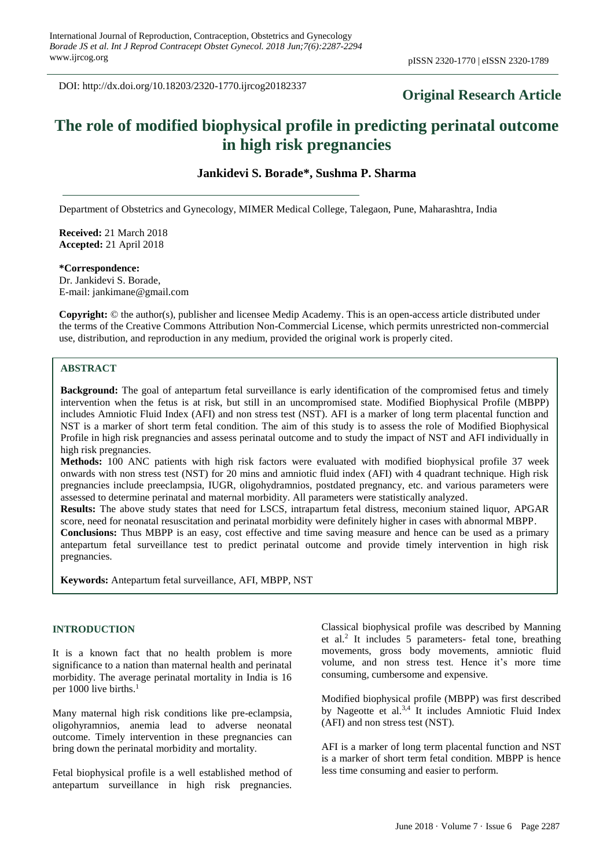DOI: http://dx.doi.org/10.18203/2320-1770.ijrcog20182337

# **Original Research Article**

# **The role of modified biophysical profile in predicting perinatal outcome in high risk pregnancies**

# **Jankidevi S. Borade\*, Sushma P. Sharma**

Department of Obstetrics and Gynecology, MIMER Medical College, Talegaon, Pune, Maharashtra, India

**Received:** 21 March 2018 **Accepted:** 21 April 2018

# **\*Correspondence:**

Dr. Jankidevi S. Borade, E-mail: jankimane@gmail.com

**Copyright:** © the author(s), publisher and licensee Medip Academy. This is an open-access article distributed under the terms of the Creative Commons Attribution Non-Commercial License, which permits unrestricted non-commercial use, distribution, and reproduction in any medium, provided the original work is properly cited.

# **ABSTRACT**

**Background:** The goal of antepartum fetal surveillance is early identification of the compromised fetus and timely intervention when the fetus is at risk, but still in an uncompromised state. Modified Biophysical Profile (MBPP) includes Amniotic Fluid Index (AFI) and non stress test (NST). AFI is a marker of long term placental function and NST is a marker of short term fetal condition. The aim of this study is to assess the role of Modified Biophysical Profile in high risk pregnancies and assess perinatal outcome and to study the impact of NST and AFI individually in high risk pregnancies.

**Methods:** 100 ANC patients with high risk factors were evaluated with modified biophysical profile 37 week onwards with non stress test (NST) for 20 mins and amniotic fluid index (AFI) with 4 quadrant technique. High risk pregnancies include preeclampsia, IUGR, oligohydramnios, postdated pregnancy, etc. and various parameters were assessed to determine perinatal and maternal morbidity. All parameters were statistically analyzed.

**Results:** The above study states that need for LSCS, intrapartum fetal distress, meconium stained liquor, APGAR score, need for neonatal resuscitation and perinatal morbidity were definitely higher in cases with abnormal MBPP.

**Conclusions:** Thus MBPP is an easy, cost effective and time saving measure and hence can be used as a primary antepartum fetal surveillance test to predict perinatal outcome and provide timely intervention in high risk pregnancies.

**Keywords:** Antepartum fetal surveillance, AFI, MBPP, NST

#### **INTRODUCTION**

It is a known fact that no health problem is more significance to a nation than maternal health and perinatal morbidity. The average perinatal mortality in India is 16 per 1000 live births.<sup>1</sup>

Many maternal high risk conditions like pre-eclampsia, oligohyramnios, anemia lead to adverse neonatal outcome. Timely intervention in these pregnancies can bring down the perinatal morbidity and mortality.

Fetal biophysical profile is a well established method of antepartum surveillance in high risk pregnancies.

Classical biophysical profile was described by Manning et al.<sup>2</sup> It includes 5 parameters- fetal tone, breathing movements, gross body movements, amniotic fluid volume, and non stress test. Hence it's more time consuming, cumbersome and expensive.

Modified biophysical profile (MBPP) was first described by Nageotte et al.<sup>3,4</sup> It includes Amniotic Fluid Index (AFI) and non stress test (NST).

AFI is a marker of long term placental function and NST is a marker of short term fetal condition. MBPP is hence less time consuming and easier to perform.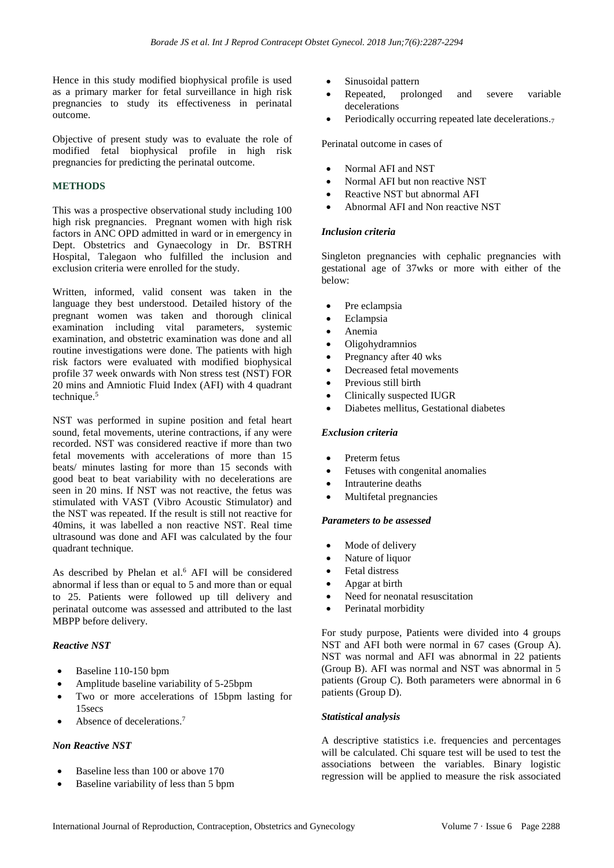Hence in this study modified biophysical profile is used as a primary marker for fetal surveillance in high risk pregnancies to study its effectiveness in perinatal outcome.

Objective of present study was to evaluate the role of modified fetal biophysical profile in high risk pregnancies for predicting the perinatal outcome.

# **METHODS**

This was a prospective observational study including 100 high risk pregnancies. Pregnant women with high risk factors in ANC OPD admitted in ward or in emergency in Dept. Obstetrics and Gynaecology in Dr. BSTRH Hospital, Talegaon who fulfilled the inclusion and exclusion criteria were enrolled for the study.

Written, informed, valid consent was taken in the language they best understood. Detailed history of the pregnant women was taken and thorough clinical examination including vital parameters, systemic examination, and obstetric examination was done and all routine investigations were done. The patients with high risk factors were evaluated with modified biophysical profile 37 week onwards with Non stress test (NST) FOR 20 mins and Amniotic Fluid Index (AFI) with 4 quadrant technique.<sup>5</sup>

NST was performed in supine position and fetal heart sound, fetal movements, uterine contractions, if any were recorded. NST was considered reactive if more than two fetal movements with accelerations of more than 15 beats/ minutes lasting for more than 15 seconds with good beat to beat variability with no decelerations are seen in 20 mins. If NST was not reactive, the fetus was stimulated with VAST (Vibro Acoustic Stimulator) and the NST was repeated. If the result is still not reactive for 40mins, it was labelled a non reactive NST. Real time ultrasound was done and AFI was calculated by the four quadrant technique.

As described by Phelan et al.<sup>6</sup> AFI will be considered abnormal if less than or equal to 5 and more than or equal to 25. Patients were followed up till delivery and perinatal outcome was assessed and attributed to the last MBPP before delivery.

# *Reactive NST*

- Baseline 110-150 bpm
- Amplitude baseline variability of 5-25bpm
- Two or more accelerations of 15bpm lasting for 15secs
- Absence of decelerations.<sup>7</sup>

# *Non Reactive NST*

- Baseline less than 100 or above 170
- Baseline variability of less than 5 bpm
- Sinusoidal pattern
- Repeated, prolonged and severe variable decelerations
- Periodically occurring repeated late decelerations.7

Perinatal outcome in cases of

- Normal AFI and NST
- Normal AFI but non reactive NST
- Reactive NST but abnormal AFI
- Abnormal AFI and Non reactive NST

#### *Inclusion criteria*

Singleton pregnancies with cephalic pregnancies with gestational age of 37wks or more with either of the below:

- Pre eclampsia
- Eclampsia
- Anemia
- Oligohydramnios
- Pregnancy after 40 wks
- Decreased fetal movements
- Previous still birth
- Clinically suspected IUGR
- Diabetes mellitus, Gestational diabetes

#### *Exclusion criteria*

- Preterm fetus
- Fetuses with congenital anomalies
- Intrauterine deaths
- Multifetal pregnancies

#### *Parameters to be assessed*

- Mode of delivery
- Nature of liquor
- Fetal distress
- Apgar at birth
- Need for neonatal resuscitation
- Perinatal morbidity

For study purpose, Patients were divided into 4 groups NST and AFI both were normal in 67 cases (Group A). NST was normal and AFI was abnormal in 22 patients (Group B). AFI was normal and NST was abnormal in 5 patients (Group C). Both parameters were abnormal in 6 patients (Group D).

# *Statistical analysis*

A descriptive statistics i.e. frequencies and percentages will be calculated. Chi square test will be used to test the associations between the variables. Binary logistic regression will be applied to measure the risk associated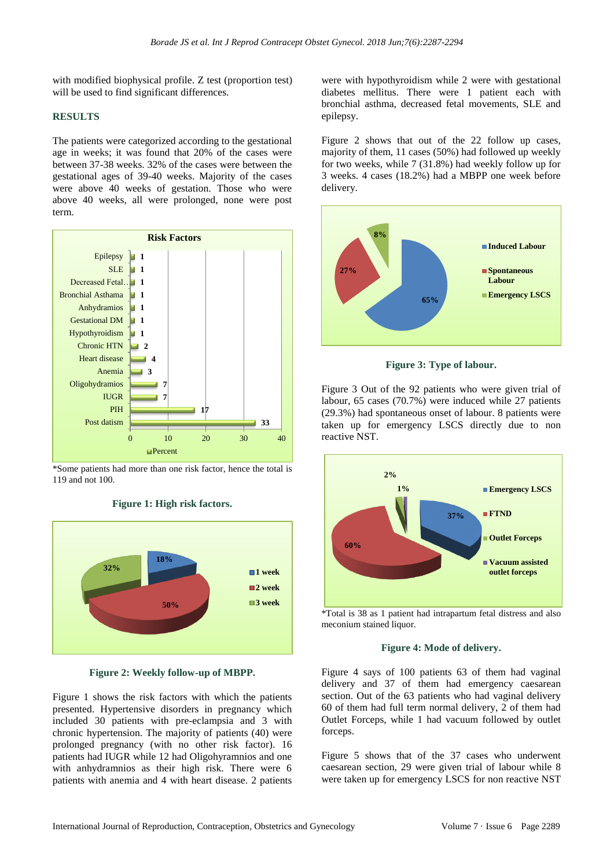with modified biophysical profile. Z test (proportion test) will be used to find significant differences.

#### **RESULTS**

The patients were categorized according to the gestational age in weeks; it was found that 20% of the cases were between 37-38 weeks. 32% of the cases were between the gestational ages of 39-40 weeks. Majority of the cases were above 40 weeks of gestation. Those who were above 40 weeks, all were prolonged, none were post term.



\*Some patients had more than one risk factor, hence the total is 119 and not 100.



**Figure 1: High risk factors.**



Figure 1 shows the risk factors with which the patients presented. Hypertensive disorders in pregnancy which included 30 patients with pre-eclampsia and 3 with chronic hypertension. The majority of patients (40) were prolonged pregnancy (with no other risk factor). 16 patients had IUGR while 12 had Oligohyramnios and one with anhydramnios as their high risk. There were 6 patients with anemia and 4 with heart disease. 2 patients

were with hypothyroidism while 2 were with gestational diabetes mellitus. There were 1 patient each with bronchial asthma, decreased fetal movements, SLE and epilepsy.

Figure 2 shows that out of the 22 follow up cases, majority of them, 11 cases (50%) had followed up weekly for two weeks, while 7 (31.8%) had weekly follow up for 3 weeks. 4 cases (18.2%) had a MBPP one week before delivery.



**Figure 3: Type of labour.**

Figure 3 Out of the 92 patients who were given trial of labour, 65 cases (70.7%) were induced while 27 patients (29.3%) had spontaneous onset of labour. 8 patients were taken up for emergency LSCS directly due to non reactive NST.



\*Total is 38 as 1 patient had intrapartum fetal distress and also meconium stained liquor.

# **Figure 4: Mode of delivery.**

Figure 4 says of 100 patients 63 of them had vaginal delivery and 37 of them had emergency caesarean section. Out of the 63 patients who had vaginal delivery 60 of them had full term normal delivery, 2 of them had Outlet Forceps, while 1 had vacuum followed by outlet forceps.

Figure 5 shows that of the 37 cases who underwent caesarean section, 29 were given trial of labour while 8 were taken up for emergency LSCS for non reactive NST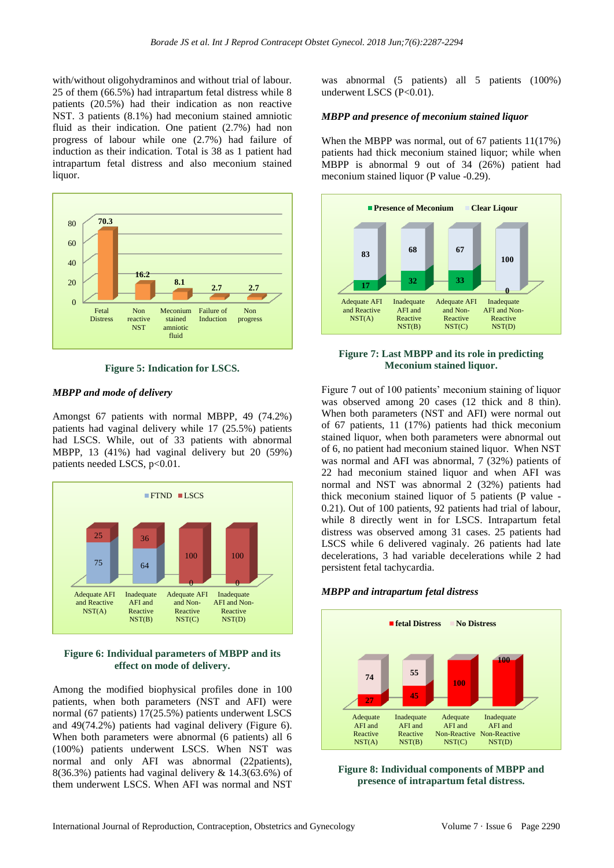with/without oligohydraminos and without trial of labour. 25 of them (66.5%) had intrapartum fetal distress while 8 patients (20.5%) had their indication as non reactive NST. 3 patients (8.1%) had meconium stained amniotic fluid as their indication. One patient (2.7%) had non progress of labour while one (2.7%) had failure of induction as their indication. Total is 38 as 1 patient had intrapartum fetal distress and also meconium stained liquor.



**Figure 5: Indication for LSCS.**

#### *MBPP and mode of delivery*

Amongst 67 patients with normal MBPP, 49 (74.2%) patients had vaginal delivery while 17 (25.5%) patients had LSCS. While, out of 33 patients with abnormal MBPP, 13 (41%) had vaginal delivery but 20 (59%) patients needed LSCS, p<0.01.



#### **Figure 6: Individual parameters of MBPP and its effect on mode of delivery.**

Among the modified biophysical profiles done in 100 patients, when both parameters (NST and AFI) were normal (67 patients) 17(25.5%) patients underwent LSCS and 49(74.2%) patients had vaginal delivery (Figure 6). When both parameters were abnormal (6 patients) all 6 (100%) patients underwent LSCS. When NST was normal and only AFI was abnormal (22patients), 8(36.3%) patients had vaginal delivery  $\&$  14.3(63.6%) of them underwent LSCS. When AFI was normal and NST

was abnormal (5 patients) all 5 patients (100%) underwent LSCS (P<0.01).

#### *MBPP and presence of meconium stained liquor*

When the MBPP was normal, out of 67 patients 11(17%) patients had thick meconium stained liquor; while when MBPP is abnormal 9 out of 34 (26%) patient had meconium stained liquor (P value -0.29).



#### **Figure 7: Last MBPP and its role in predicting Meconium stained liquor.**

Figure 7 out of 100 patients' meconium staining of liquor was observed among 20 cases (12 thick and 8 thin). When both parameters (NST and AFI) were normal out of 67 patients, 11 (17%) patients had thick meconium stained liquor, when both parameters were abnormal out of 6, no patient had meconium stained liquor. When NST was normal and AFI was abnormal, 7 (32%) patients of 22 had meconium stained liquor and when AFI was normal and NST was abnormal 2 (32%) patients had thick meconium stained liquor of 5 patients (P value - 0.21). Out of 100 patients, 92 patients had trial of labour, while 8 directly went in for LSCS. Intrapartum fetal distress was observed among 31 cases. 25 patients had LSCS while 6 delivered vaginaly. 26 patients had late decelerations, 3 had variable decelerations while 2 had persistent fetal tachycardia.

#### *MBPP and intrapartum fetal distress*



**Figure 8: Individual components of MBPP and presence of intrapartum fetal distress.**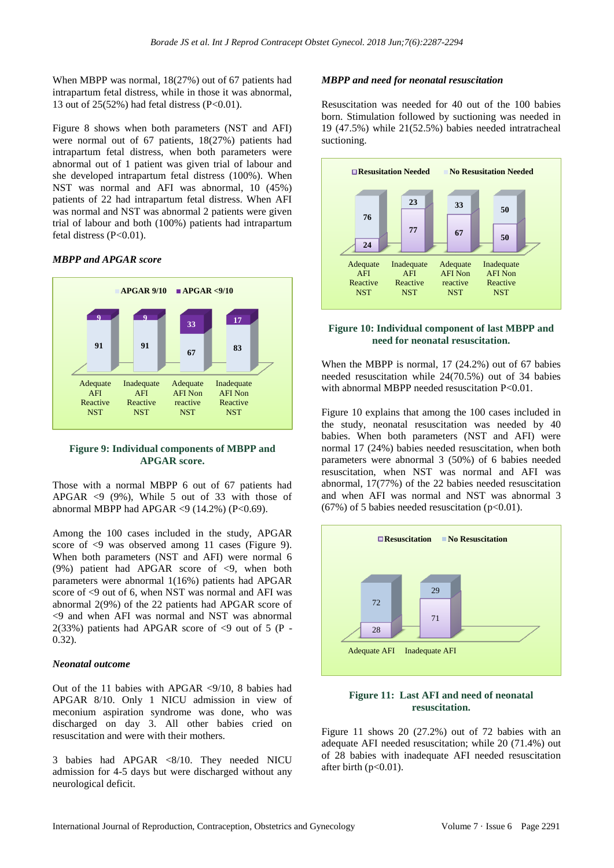When MBPP was normal, 18(27%) out of 67 patients had intrapartum fetal distress, while in those it was abnormal, 13 out of  $25(52%)$  had fetal distress (P<0.01).

Figure 8 shows when both parameters (NST and AFI) were normal out of 67 patients, 18(27%) patients had intrapartum fetal distress, when both parameters were abnormal out of 1 patient was given trial of labour and she developed intrapartum fetal distress (100%). When NST was normal and AFI was abnormal, 10 (45%) patients of 22 had intrapartum fetal distress. When AFI was normal and NST was abnormal 2 patients were given trial of labour and both (100%) patients had intrapartum fetal distress (P<0.01).

# *MBPP and APGAR score*



# **Figure 9: Individual components of MBPP and APGAR score.**

Those with a normal MBPP 6 out of 67 patients had APGAR <9 (9%), While 5 out of 33 with those of abnormal MBPP had APGAR <9  $(14.2\%)$  (P<0.69).

Among the 100 cases included in the study, APGAR score of <9 was observed among 11 cases (Figure 9). When both parameters (NST and AFI) were normal 6 (9%) patient had APGAR score of <9, when both parameters were abnormal 1(16%) patients had APGAR score of <9 out of 6, when NST was normal and AFI was abnormal 2(9%) of the 22 patients had APGAR score of <9 and when AFI was normal and NST was abnormal  $2(33%)$  patients had APGAR score of  $\leq 9$  out of 5 (P -0.32).

#### *Neonatal outcome*

Out of the 11 babies with APGAR  $\langle 9/10, 8 \rangle$  babies had APGAR 8/10. Only 1 NICU admission in view of meconium aspiration syndrome was done, who was discharged on day 3. All other babies cried on resuscitation and were with their mothers.

3 babies had APGAR <8/10. They needed NICU admission for 4-5 days but were discharged without any neurological deficit.

# *MBPP and need for neonatal resuscitation*

Resuscitation was needed for 40 out of the 100 babies born. Stimulation followed by suctioning was needed in 19 (47.5%) while 21(52.5%) babies needed intratracheal suctioning.



## **Figure 10: Individual component of last MBPP and need for neonatal resuscitation.**

When the MBPP is normal, 17 (24.2%) out of 67 babies needed resuscitation while 24(70.5%) out of 34 babies with abnormal MBPP needed resuscitation P<0.01.

Figure 10 explains that among the 100 cases included in the study, neonatal resuscitation was needed by 40 babies. When both parameters (NST and AFI) were normal 17 (24%) babies needed resuscitation, when both parameters were abnormal 3 (50%) of 6 babies needed resuscitation, when NST was normal and AFI was abnormal, 17(77%) of the 22 babies needed resuscitation and when AFI was normal and NST was abnormal 3 (67%) of 5 babies needed resuscitation ( $p<0.01$ ).



## **Figure 11: Last AFI and need of neonatal resuscitation.**

Figure 11 shows 20 (27.2%) out of 72 babies with an adequate AFI needed resuscitation; while 20 (71.4%) out of 28 babies with inadequate AFI needed resuscitation after birth  $(p<0.01)$ .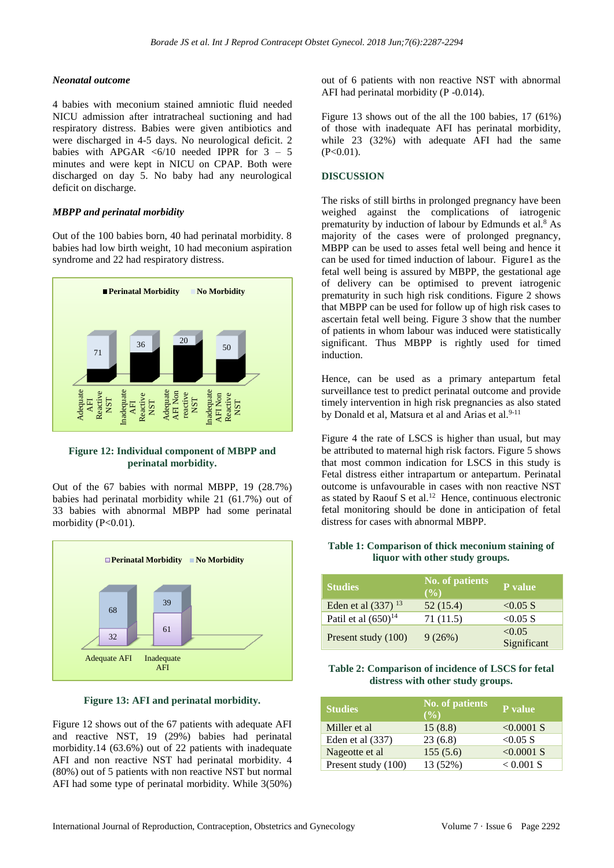#### *Neonatal outcome*

4 babies with meconium stained amniotic fluid needed NICU admission after intratracheal suctioning and had respiratory distress. Babies were given antibiotics and were discharged in 4-5 days. No neurological deficit. 2 babies with APGAR  $\lt 6/10$  needed IPPR for 3 - 5 minutes and were kept in NICU on CPAP. Both were discharged on day 5. No baby had any neurological deficit on discharge.

#### *MBPP and perinatal morbidity*

Out of the 100 babies born, 40 had perinatal morbidity. 8 babies had low birth weight, 10 had meconium aspiration syndrome and 22 had respiratory distress.



# **Figure 12: Individual component of MBPP and perinatal morbidity.**

Out of the 67 babies with normal MBPP, 19 (28.7%) babies had perinatal morbidity while 21 (61.7%) out of 33 babies with abnormal MBPP had some perinatal morbidity (P<0.01).



**Figure 13: AFI and perinatal morbidity.**

Figure 12 shows out of the 67 patients with adequate AFI and reactive NST, 19 (29%) babies had perinatal morbidity.14 (63.6%) out of 22 patients with inadequate AFI and non reactive NST had perinatal morbidity. 4 (80%) out of 5 patients with non reactive NST but normal AFI had some type of perinatal morbidity. While 3(50%) out of 6 patients with non reactive NST with abnormal AFI had perinatal morbidity (P -0.014).

Figure 13 shows out of the all the 100 babies, 17 (61%) of those with inadequate AFI has perinatal morbidity, while 23 (32%) with adequate AFI had the same  $(P<0.01)$ .

#### **DISCUSSION**

The risks of still births in prolonged pregnancy have been weighed against the complications of iatrogenic prematurity by induction of labour by Edmunds et al.<sup>8</sup> As majority of the cases were of prolonged pregnancy, MBPP can be used to asses fetal well being and hence it can be used for timed induction of labour. Figure1 as the fetal well being is assured by MBPP, the gestational age of delivery can be optimised to prevent iatrogenic prematurity in such high risk conditions. Figure 2 shows that MBPP can be used for follow up of high risk cases to ascertain fetal well being. Figure 3 show that the number of patients in whom labour was induced were statistically significant. Thus MBPP is rightly used for timed induction.

Hence, can be used as a primary antepartum fetal surveillance test to predict perinatal outcome and provide timely intervention in high risk pregnancies as also stated by Donald et al, Matsura et al and Arias et al.<sup>9-11</sup>

Figure 4 the rate of LSCS is higher than usual, but may be attributed to maternal high risk factors. Figure 5 shows that most common indication for LSCS in this study is Fetal distress either intrapartum or antepartum. Perinatal outcome is unfavourable in cases with non reactive NST as stated by Raouf S et al.<sup>12</sup> Hence, continuous electronic fetal monitoring should be done in anticipation of fetal distress for cases with abnormal MBPP.

#### **Table 1: Comparison of thick meconium staining of liquor with other study groups.**

| <b>Studies</b>                   | <b>No. of patients</b><br>$($ %) | <b>P</b> value        |
|----------------------------------|----------------------------------|-----------------------|
| Eden et al $(337)$ <sup>13</sup> | 52(15.4)                         | $< 0.05$ S            |
| Patil et al $(650)^{14}$         | 71 (11.5)                        | $< 0.05$ S            |
| Present study (100)              | 9(26%)                           | < 0.05<br>Significant |

#### **Table 2: Comparison of incidence of LSCS for fetal distress with other study groups.**

| <b>Studies</b>      | <b>No. of patients</b><br>$($ %) | P value      |
|---------------------|----------------------------------|--------------|
| Miller et al        | 15(8.8)                          | $< 0.0001$ S |
| Eden et al (337)    | 23(6.8)                          | $< 0.05$ S   |
| Nageotte et al      | 155(5.6)                         | $< 0.0001$ S |
| Present study (100) | 13 (52%)                         | $< 0.001$ S  |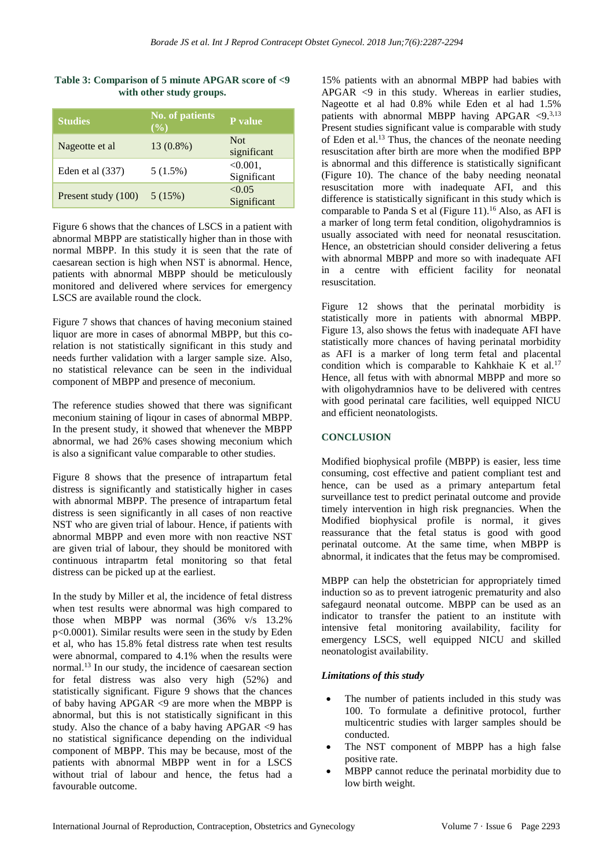## **Table 3: Comparison of 5 minute APGAR score of <9 with other study groups.**

| <b>Studies</b>      | <b>No. of patients</b><br>$($ %) | <b>P</b> value             |
|---------------------|----------------------------------|----------------------------|
| Nageotte et al      | 13 (0.8%)                        | <b>Not</b><br>significant  |
| Eden et al $(337)$  | $5(1.5\%)$                       | $< 0.001$ ,<br>Significant |
| Present study (100) | 5(15%)                           | < 0.05<br>Significant      |

Figure 6 shows that the chances of LSCS in a patient with abnormal MBPP are statistically higher than in those with normal MBPP. In this study it is seen that the rate of caesarean section is high when NST is abnormal. Hence, patients with abnormal MBPP should be meticulously monitored and delivered where services for emergency LSCS are available round the clock.

Figure 7 shows that chances of having meconium stained liquor are more in cases of abnormal MBPP, but this corelation is not statistically significant in this study and needs further validation with a larger sample size. Also, no statistical relevance can be seen in the individual component of MBPP and presence of meconium.

The reference studies showed that there was significant meconium staining of liqour in cases of abnormal MBPP. In the present study, it showed that whenever the MBPP abnormal, we had 26% cases showing meconium which is also a significant value comparable to other studies.

Figure 8 shows that the presence of intrapartum fetal distress is significantly and statistically higher in cases with abnormal MBPP. The presence of intrapartum fetal distress is seen significantly in all cases of non reactive NST who are given trial of labour. Hence, if patients with abnormal MBPP and even more with non reactive NST are given trial of labour, they should be monitored with continuous intrapartm fetal monitoring so that fetal distress can be picked up at the earliest.

In the study by Miller et al, the incidence of fetal distress when test results were abnormal was high compared to those when MBPP was normal (36% v/s 13.2% p<0.0001). Similar results were seen in the study by Eden et al, who has 15.8% fetal distress rate when test results were abnormal, compared to 4.1% when the results were normal.<sup>13</sup> In our study, the incidence of caesarean section for fetal distress was also very high (52%) and statistically significant. Figure 9 shows that the chances of baby having APGAR <9 are more when the MBPP is abnormal, but this is not statistically significant in this study. Also the chance of a baby having APGAR <9 has no statistical significance depending on the individual component of MBPP. This may be because, most of the patients with abnormal MBPP went in for a LSCS without trial of labour and hence, the fetus had a favourable outcome.

15% patients with an abnormal MBPP had babies with  $APGAR < 9$  in this study. Whereas in earlier studies, Nageotte et al had 0.8% while Eden et al had 1.5% patients with abnormal MBPP having APGAR  $\langle 9,3,13 \rangle$ Present studies significant value is comparable with study of Eden et al.<sup>13</sup> Thus, the chances of the neonate needing resuscitation after birth are more when the modified BPP is abnormal and this difference is statistically significant (Figure 10). The chance of the baby needing neonatal resuscitation more with inadequate AFI, and this difference is statistically significant in this study which is comparable to Panda S et al (Figure 11).<sup>16</sup> Also, as AFI is a marker of long term fetal condition, oligohydramnios is usually associated with need for neonatal resuscitation. Hence, an obstetrician should consider delivering a fetus with abnormal MBPP and more so with inadequate AFI in a centre with efficient facility for neonatal resuscitation.

Figure 12 shows that the perinatal morbidity is statistically more in patients with abnormal MBPP. Figure 13, also shows the fetus with inadequate AFI have statistically more chances of having perinatal morbidity as AFI is a marker of long term fetal and placental condition which is comparable to Kahkhaie K et al.<sup>17</sup> Hence, all fetus with with abnormal MBPP and more so with oligohydramnios have to be delivered with centres with good perinatal care facilities, well equipped NICU and efficient neonatologists.

# **CONCLUSION**

Modified biophysical profile (MBPP) is easier, less time consuming, cost effective and patient compliant test and hence, can be used as a primary antepartum fetal surveillance test to predict perinatal outcome and provide timely intervention in high risk pregnancies. When the Modified biophysical profile is normal, it gives reassurance that the fetal status is good with good perinatal outcome. At the same time, when MBPP is abnormal, it indicates that the fetus may be compromised.

MBPP can help the obstetrician for appropriately timed induction so as to prevent iatrogenic prematurity and also safegaurd neonatal outcome. MBPP can be used as an indicator to transfer the patient to an institute with intensive fetal monitoring availability, facility for emergency LSCS, well equipped NICU and skilled neonatologist availability.

# *Limitations of this study*

- The number of patients included in this study was 100. To formulate a definitive protocol, further multicentric studies with larger samples should be conducted.
- The NST component of MBPP has a high false positive rate.
- MBPP cannot reduce the perinatal morbidity due to low birth weight.